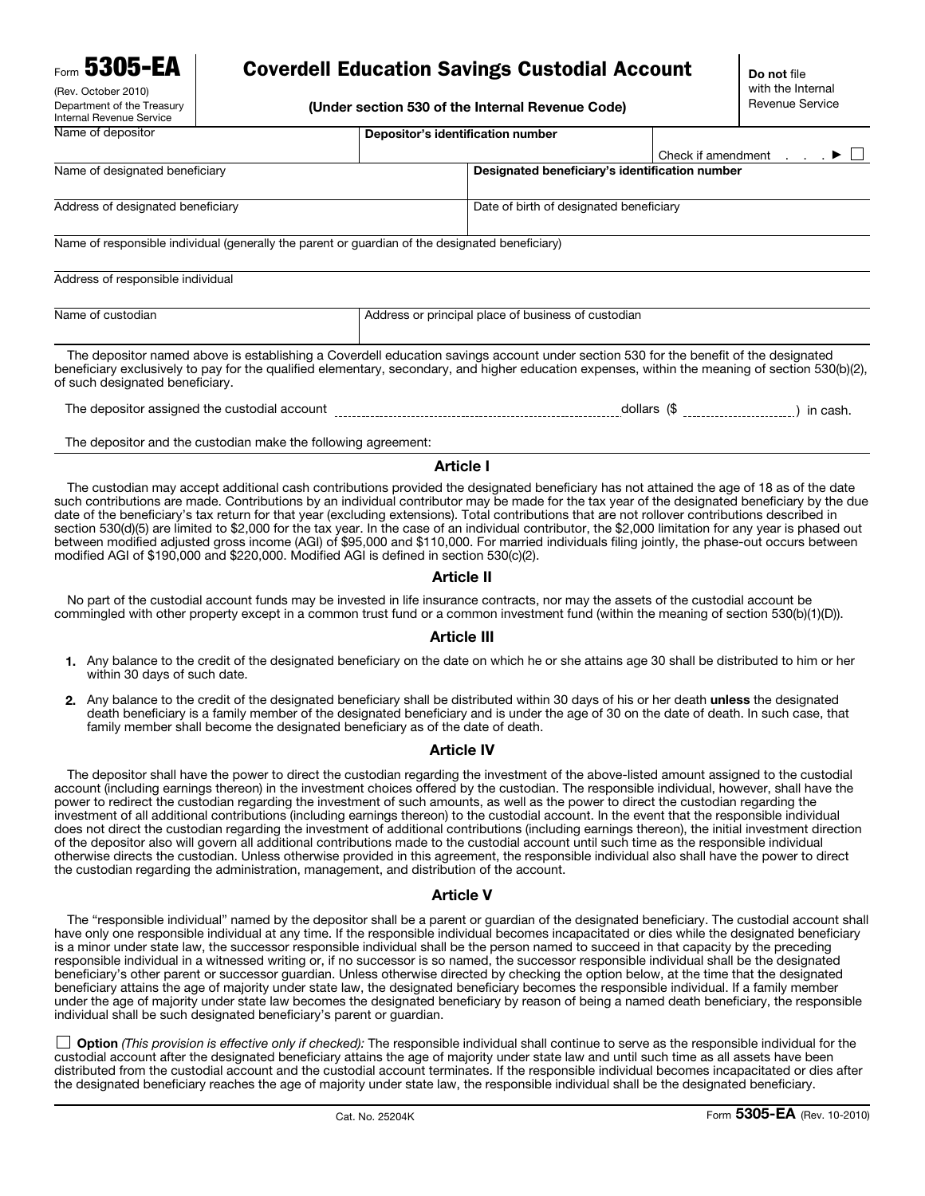**Form 5305-EA** 

(Rev. October 2010) Department of the Treasury Internal Revenue Service

# Coverdell Education Savings Custodial Account

(Under section 530 of the Internal Revenue Code)

| Name of depositor                                                                               | Depositor's identification number                   |                                                |                                                               |
|-------------------------------------------------------------------------------------------------|-----------------------------------------------------|------------------------------------------------|---------------------------------------------------------------|
|                                                                                                 |                                                     |                                                | $\ldots$ $\blacktriangleright$ $\sqcup$<br>Check if amendment |
| Name of designated beneficiary                                                                  |                                                     | Designated beneficiary's identification number |                                                               |
|                                                                                                 |                                                     |                                                |                                                               |
| Address of designated beneficiary                                                               |                                                     | Date of birth of designated beneficiary        |                                                               |
|                                                                                                 |                                                     |                                                |                                                               |
| Name of responsible individual (generally the parent or guardian of the designated beneficiary) |                                                     |                                                |                                                               |
|                                                                                                 |                                                     |                                                |                                                               |
| Address of responsible individual                                                               |                                                     |                                                |                                                               |
|                                                                                                 |                                                     |                                                |                                                               |
| Name of custodian                                                                               | Address or principal place of business of custodian |                                                |                                                               |

The depositor named above is establishing a Coverdell education savings account under section 530 for the benefit of the designated beneficiary exclusively to pay for the qualified elementary, secondary, and higher education expenses, within the meaning of section 530(b)(2), of such designated beneficiary.

The depositor assigned the custodial account [1000101] [10001] [10001] [10001] dollars (\$ [100011] [10001] in cash.

The depositor and the custodian make the following agreement:

### Article I

The custodian may accept additional cash contributions provided the designated beneficiary has not attained the age of 18 as of the date such contributions are made. Contributions by an individual contributor may be made for the tax year of the designated beneficiary by the due date of the beneficiary's tax return for that year (excluding extensions). Total contributions that are not rollover contributions described in section 530(d)(5) are limited to \$2,000 for the tax year. In the case of an individual contributor, the \$2,000 limitation for any year is phased out between modified adjusted gross income (AGI) of \$95,000 and \$110,000. For married individuals filing jointly, the phase-out occurs between modified AGI of \$190,000 and \$220,000. Modified AGI is defined in section 530(c)(2).

# Article II

No part of the custodial account funds may be invested in life insurance contracts, nor may the assets of the custodial account be commingled with other property except in a common trust fund or a common investment fund (within the meaning of section 530(b)(1)(D)).

# Article III

- 1. Any balance to the credit of the designated beneficiary on the date on which he or she attains age 30 shall be distributed to him or her within 30 days of such date.
- 2. Any balance to the credit of the designated beneficiary shall be distributed within 30 days of his or her death unless the designated death beneficiary is a family member of the designated beneficiary and is under the age of 30 on the date of death. In such case, that family member shall become the designated beneficiary as of the date of death.

# Article IV

The depositor shall have the power to direct the custodian regarding the investment of the above-listed amount assigned to the custodial account (including earnings thereon) in the investment choices offered by the custodian. The responsible individual, however, shall have the power to redirect the custodian regarding the investment of such amounts, as well as the power to direct the custodian regarding the investment of all additional contributions (including earnings thereon) to the custodial account. In the event that the responsible individual does not direct the custodian regarding the investment of additional contributions (including earnings thereon), the initial investment direction of the depositor also will govern all additional contributions made to the custodial account until such time as the responsible individual otherwise directs the custodian. Unless otherwise provided in this agreement, the responsible individual also shall have the power to direct the custodian regarding the administration, management, and distribution of the account.

# Article V

The "responsible individual" named by the depositor shall be a parent or guardian of the designated beneficiary. The custodial account shall have only one responsible individual at any time. If the responsible individual becomes incapacitated or dies while the designated beneficiary is a minor under state law, the successor responsible individual shall be the person named to succeed in that capacity by the preceding responsible individual in a witnessed writing or, if no successor is so named, the successor responsible individual shall be the designated beneficiary's other parent or successor guardian. Unless otherwise directed by checking the option below, at the time that the designated beneficiary attains the age of majority under state law, the designated beneficiary becomes the responsible individual. If a family member under the age of majority under state law becomes the designated beneficiary by reason of being a named death beneficiary, the responsible individual shall be such designated beneficiary's parent or guardian.

Option *(This provision is effective only if checked):* The responsible individual shall continue to serve as the responsible individual for the custodial account after the designated beneficiary attains the age of majority under state law and until such time as all assets have been distributed from the custodial account and the custodial account terminates. If the responsible individual becomes incapacitated or dies after the designated beneficiary reaches the age of majority under state law, the responsible individual shall be the designated beneficiary.